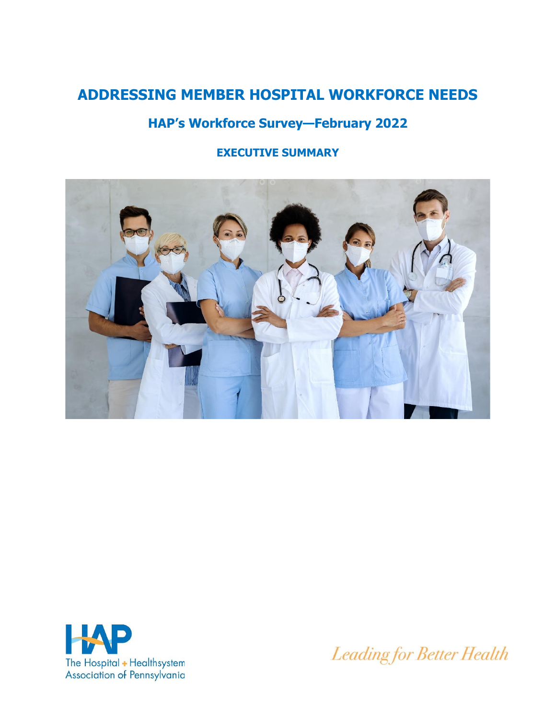# **ADDRESSING MEMBER HOSPITAL WORKFORCE NEEDS**

# **HAP's Workforce Survey—February 2022**

# **EXECUTIVE SUMMARY**





Leading for Better Health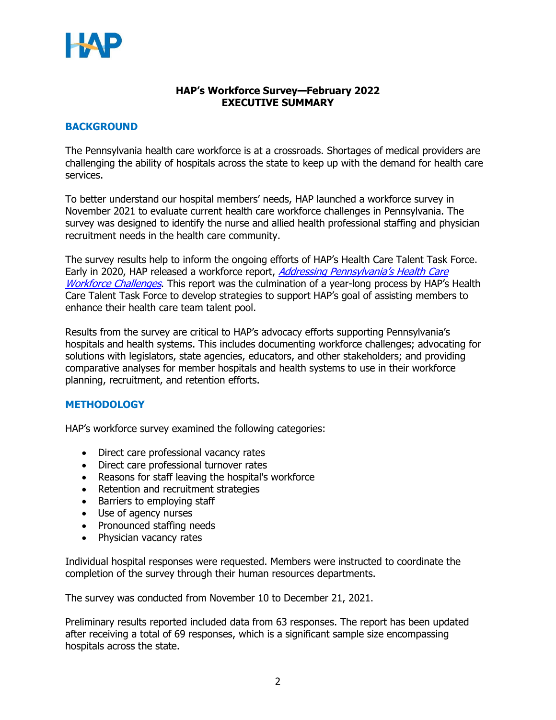

#### **HAP's Workforce Survey—February 2022 EXECUTIVE SUMMARY**

#### **BACKGROUND**

The Pennsylvania health care workforce is at a crossroads. Shortages of medical providers are challenging the ability of hospitals across the state to keep up with the demand for health care services.

To better understand our hospital members' needs, HAP launched a workforce survey in November 2021 to evaluate current health care workforce challenges in Pennsylvania. The survey was designed to identify the nurse and allied health professional staffing and physician recruitment needs in the health care community.

The survey results help to inform the ongoing efforts of HAP's Health Care Talent Task Force. Early in 2020, HAP released a workforce report, *Addressing Pennsylvania's Health Care* [Workforce Challenges](https://haponlinecontent.azureedge.net/resourcelibrary/hapaddressingpahealthcareworkforcechallengesrecommendationsreport-012420-links-and-bookmarks.pdf). This report was the culmination of a year-long process by HAP's Health Care Talent Task Force to develop strategies to support HAP's goal of assisting members to enhance their health care team talent pool.

Results from the survey are critical to HAP's advocacy efforts supporting Pennsylvania's hospitals and health systems. This includes documenting workforce challenges; advocating for solutions with legislators, state agencies, educators, and other stakeholders; and providing comparative analyses for member hospitals and health systems to use in their workforce planning, recruitment, and retention efforts.

#### **METHODOLOGY**

HAP's workforce survey examined the following categories:

- Direct care professional vacancy rates
- Direct care professional turnover rates
- Reasons for staff leaving the hospital's workforce
- Retention and recruitment strategies
- Barriers to employing staff
- Use of agency nurses
- Pronounced staffing needs
- Physician vacancy rates

Individual hospital responses were requested. Members were instructed to coordinate the completion of the survey through their human resources departments.

The survey was conducted from November 10 to December 21, 2021.

Preliminary results reported included data from 63 responses. The report has been updated after receiving a total of 69 responses, which is a significant sample size encompassing hospitals across the state.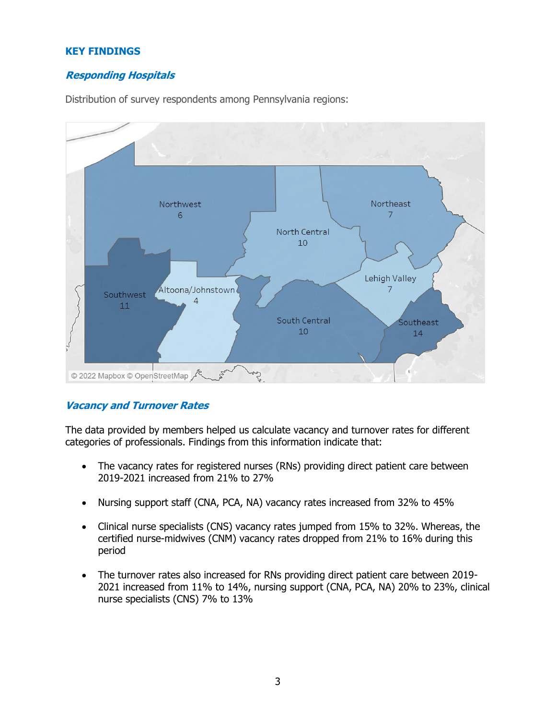#### **KEY FINDINGS**

### **Responding Hospitals**

Distribution of survey respondents among Pennsylvania regions:



#### **Vacancy and Turnover Rates**

The data provided by members helped us calculate vacancy and turnover rates for different categories of professionals. Findings from this information indicate that:

- The vacancy rates for registered nurses (RNs) providing direct patient care between 2019-2021 increased from 21% to 27%
- Nursing support staff (CNA, PCA, NA) vacancy rates increased from 32% to 45%
- Clinical nurse specialists (CNS) vacancy rates jumped from 15% to 32%. Whereas, the certified nurse-midwives (CNM) vacancy rates dropped from 21% to 16% during this period
- The turnover rates also increased for RNs providing direct patient care between 2019- 2021 increased from 11% to 14%, nursing support (CNA, PCA, NA) 20% to 23%, clinical nurse specialists (CNS) 7% to 13%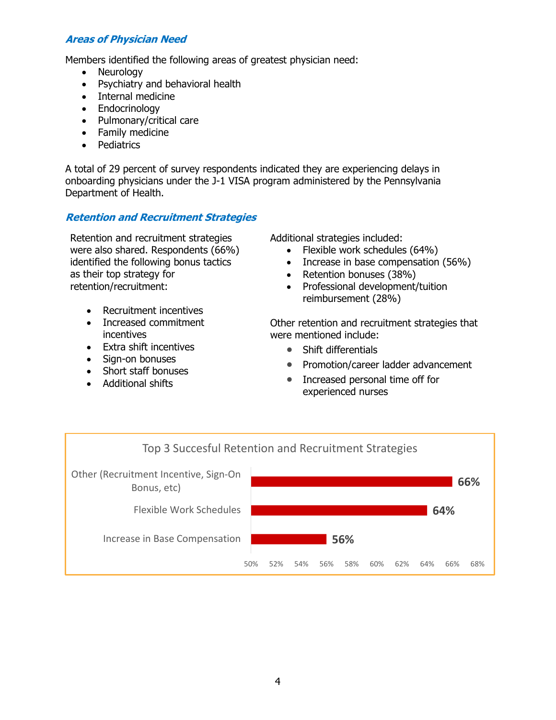### **Areas of Physician Need**

Members identified the following areas of greatest physician need:

- Neurology
- Psychiatry and behavioral health
- Internal medicine
- Endocrinology
- Pulmonary/critical care
- Family medicine
- Pediatrics

A total of 29 percent of survey respondents indicated they are experiencing delays in onboarding physicians under the J-1 VISA program administered by the Pennsylvania Department of Health.

#### **Retention and Recruitment Strategies**

Retention and recruitment strategies were also shared. Respondents (66%) identified the following bonus tactics as their top strategy for retention/recruitment:

- Recruitment incentives
- Increased commitment incentives
- Extra shift incentives
- Sign-on bonuses
- Short staff bonuses
- Additional shifts

Additional strategies included:

- Flexible work schedules (64%)
- Increase in base compensation (56%)
- Retention bonuses (38%)
- Professional development/tuition reimbursement (28%)

Other retention and recruitment strategies that were mentioned include:

- Shift differentials
- Promotion/career ladder advancement
- Increased personal time off for experienced nurses

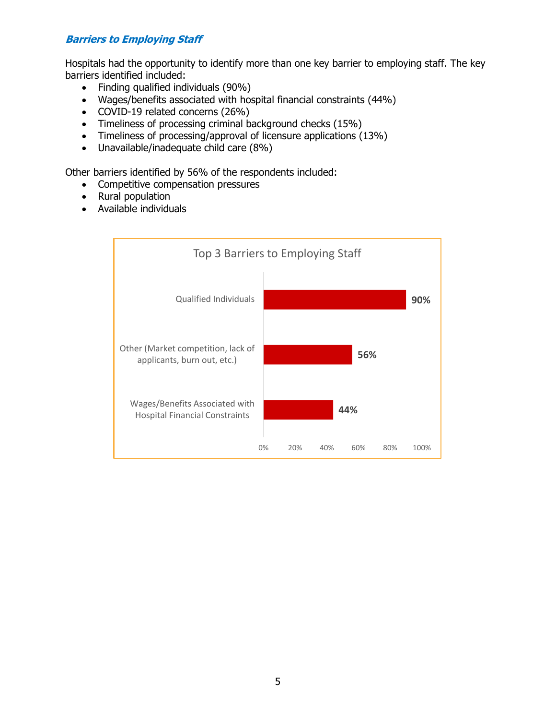## **Barriers to Employing Staff**

Hospitals had the opportunity to identify more than one key barrier to employing staff. The key barriers identified included:

- Finding qualified individuals (90%)
- Wages/benefits associated with hospital financial constraints (44%)
- COVID-19 related concerns (26%)
- Timeliness of processing criminal background checks (15%)
- Timeliness of processing/approval of licensure applications (13%)
- Unavailable/inadequate child care (8%)

Other barriers identified by 56% of the respondents included:

- Competitive compensation pressures
- Rural population
- Available individuals